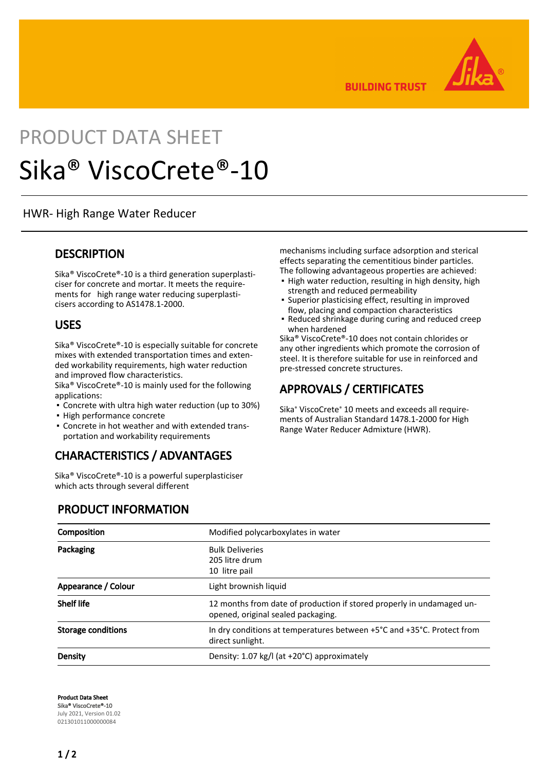

**BUILDING TRUST** 

# PRODUCT DATA SHEET Sika® ViscoCrete®-10

HWR- High Range Water Reducer

#### **DESCRIPTION**

Sika® ViscoCrete®-10 is a third generation superplasticiser for concrete and mortar. It meets the requirements for high range water reducing superplasticisers according to AS1478.1-2000.

#### USES

Sika® ViscoCrete®-10 is especially suitable for concrete mixes with extended transportation times and extended workability requirements, high water reduction and improved flow characteristics.

Sika® ViscoCrete®-10 is mainly used for the following applications:

- Concrete with ultra high water reduction (up to 30%)
- High performance concrete
- Concrete in hot weather and with extended trans-▪ portation and workability requirements

# CHARACTERISTICS / ADVANTAGES

Sika® ViscoCrete®-10 is a powerful superplasticiser which acts through several different

PRODUCT INFORMATION

mechanisms including surface adsorption and sterical effects separating the cementitious binder particles. The following advantageous properties are achieved:

- **.** High water reduction, resulting in high density, high strength and reduced permeability
- Superior plasticising effect, resulting in improved flow, placing and compaction characteristics
- Reduced shrinkage during curing and reduced creep when hardened ▪

Sika® ViscoCrete®-10 does not contain chlorides or any other ingredients which promote the corrosion of steel. It is therefore suitable for use in reinforced and pre-stressed concrete structures.

# APPROVALS / CERTIFICATES

Sika® ViscoCrete® 10 meets and exceeds all requirements of Australian Standard 1478.1-2000 for High Range Water Reducer Admixture (HWR).

| Composition               | Modified polycarboxylates in water                                                                          |
|---------------------------|-------------------------------------------------------------------------------------------------------------|
| Packaging                 | <b>Bulk Deliveries</b><br>205 litre drum<br>10 litre pail                                                   |
| Appearance / Colour       | Light brownish liquid                                                                                       |
| <b>Shelf life</b>         | 12 months from date of production if stored properly in undamaged un-<br>opened, original sealed packaging. |
| <b>Storage conditions</b> | In dry conditions at temperatures between +5°C and +35°C. Protect from<br>direct sunlight.                  |
| Density                   | Density: 1.07 kg/l (at +20°C) approximately                                                                 |

Product Data Sheet Sika® ViscoCrete®-10 July 2021, Version 01.02 021301011000000084